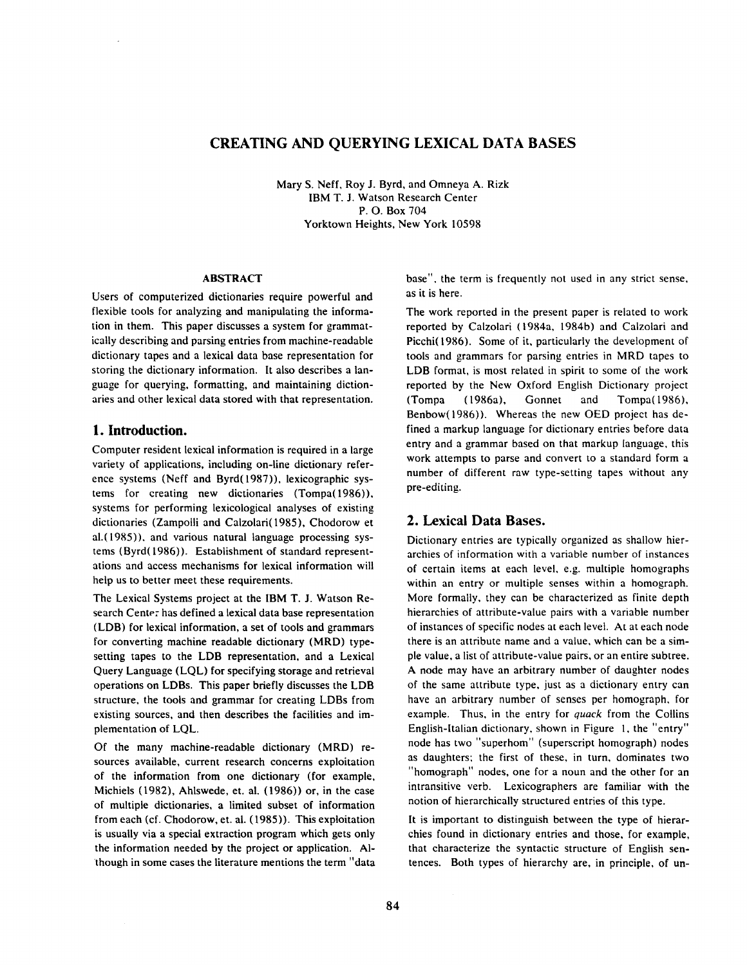# **CREATING AND QUERYING LEXICAL DATA BASES**

Mary S. Neff, Roy J. Byrd, and Omneya A. Rizk IBM T. J. Watson Research Center P. O. Box 704 Yorktown Heights, New York 10598

#### ABSTRACT

Users of computerized dictionaries require powerful and flexible tools for analyzing and manipulating the information in them. This paper discusses a system for grammatically describing and parsing entries from machine-readable dictionary tapes and a lexicai data base representation for storing the dictionary information. It also describes a language for querying, formatting, and maintaining dictionaries and other lexical data stored with that representation.

### **1. Introduction.**

Computer resident lexical information is required in a large variety of applications, including on-line dictionary reference systems (Neff and Byrd(1987)), lexicographic systems for creating new dictionaries (Tompa(1986)), systems for performing lexicological analyses of existing dictionaries (Zampolli and Calzolari(1985), Chodorow et a1.(1985)), and various natural language processing systems (Byrd(1986)). Establishment of standard representations and access mechanisms for lexical information will help us to better meet these requirements.

The Lexical Systems project at the IBM T. J. Watson Research Center has defined a lexical data base representation (LDB) for lexical information, a set of tools and grammars for converting machine readable dictionary (MRD) typesetting tapes to the LDB representation, and a Lexical Query Language (LQL) for specifying storage and retrieval operations on LDBs. This paper briefly discusses the LDB structure, the tools and grammar for creating LDBs from existing sources, and then describes the facilities and implementation of LQL.

Of the many machine-readable dictionary (MRD) resources available, current research concerns exploitation of the information from one dictionary (for example, Michiels (1982), Ahlswede, et. al. (1986)) or, in the case of multiple dictionaries, a limited subset of information from each (cf. Chodorow, et. al. (1985)). This exploitation is usually via a special extraction program which gets only the information needed by the project or application. Although in some cases the literature mentions the term "data base", the term is frequently not used in any strict sense, as it is here.

The work reported in the present paper is related to work reported by Calzolari (1984a, 1984b) and Calzolari and Picchi(1986). Some of it, particularly the development of tools and grammars for parsing entries in MRD tapes to LDB format, is most related in spirit to some of the work reported by the New Oxford English Dictionary project (Tompa (1986a), Gonnet and Tompa(1986), Benbow(1986)). Whereas the new OED project has defined a markup language for dictionary entries before data entry and a grammar based on that markup language, this work attempts to parse and convert to a standard form a number of different raw type-setting tapes without any pre-editing.

## **2. Lexicai Data Bases.**

Dictionary entries are typically organized as shallow hierarchies of information with a variable number of instances of certain items at each level, e.g. multiple homographs within an entry or multiple senses within a homograph. More formally, they can be characterized as finite depth hierarchies of attribute-value pairs with a variable number of instances of specific nodes at each level. At at each node there is an attribute name and a value, which can be a simple value, a list of attribute-value pairs, or an entire subtree. A node may have an arbitrary number of daughter nodes of the same attribute type, just as a dictionary entry can have an arbitrary number of senses per homograph, for example. Thus, in the entry for *quack* from the Collins English-ltalian dictionary, shown in Figure 1, the "entry" node has two "superhom" (superscript homograph) nodes as daughters: the first of these, in turn, dominates two "homograph" nodes, one for a noun and the other for an intransitive verb. Lexicographers are familiar with the notion of hierarchically structured entries of this type.

It is important to distinguish between the type of hierarchies found in dictionary entries and those, for example, that characterize the syntactic structure of English sentences. Both types of hierarchy are, in principle, of un-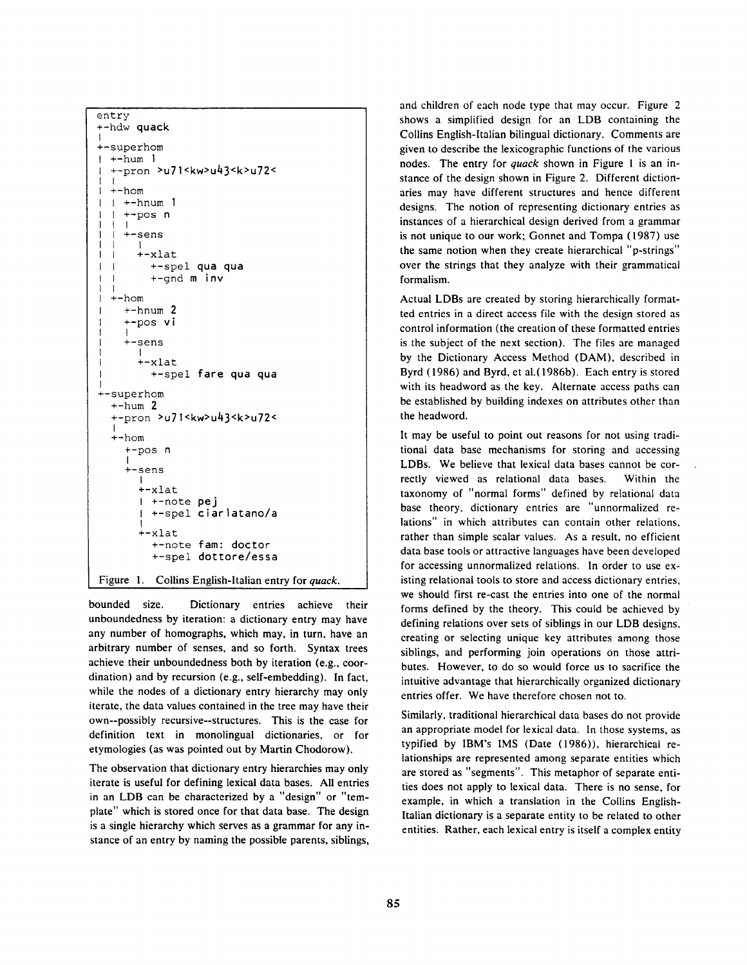```
entry 
+-hdw quack 
I 
+-superhom 
1 + -hum 1
  +-pron >u71<kw>u43<k>u72 < 
   I<br>+-hom
\mathbf{I}+-hnum 1\mathbf{I}\mathbf{I}+-pos n
  - 1
      I<br>+-sens
         I 
         +-xlat 
T
   -l
           +-spel qua qua 
\overline{1}\overline{\phantom{a}}\mathbf{I}+-gnd m iNv 
\overline{1}+-hom 
      +-hnum 2
      +-pos vi 
      I 
      +-sens 
         I 
+-xlat 
           +-spel fare qua qua 
+-superhom 
   +-hum 2 
   +-pron >u71<kw>u43<k>u72 < 
   I 
+-hom 
      +-pos n 
      I 
+-sens 
         I 
         +-xlat 
         I +-note pej 
           I +-spel ciar]atano/a 
          I 
         +-xlat 
            +-note fam: doctor
            +-spel dottore/essa 
Figure 1. Collins English-Italian entry for quack.
```
bounded size. Dictionary entries achieve their unboundedness by iteration: a dictionary entry may have any number of homographs, which may, in turn, have an arbitrary number of senses, and so forth. Syntax trees achieve their unboundedness both by iteration (e.g., coordination) and by recursion (e.g., self-embedding). In fact, while the nodes of a dictionary entry hierarchy may only iterate, the data values contained in the tree may have their own--possibly recursive--structures. This is the case for definition text in monolingual dictionaries, or for etymologies (as was pointed out by Martin Chodorow).

The observation that dictionary entry hierarchies may only iterate is useful for defining lexical data bases. All entries in an LDB can be characterized by a "design" or "template" which is stored once for that data base. The design is a single hierarchy which serves as a grammar for any instance of an entry by naming the possible parents, siblings, and children of each node type that may occur. Figure 2 shows a simplified design for an LDB containing the Collins English-Italian bilingual dictionary. Comments are given to describe the lexicographic functions of the various nodes. The entry for *quack* shown in Figure 1 is an instance of the design shown in Figure 2. Different dictionaries may have different structures and hence different designs. The notion of representing dictionary entries as instances of a hierarchical design derived from a grammar is not unique to our work; Gonnet and Tompa (1987) use the same notion when they create hierarchical "p-strings" over the strings that they analyze with their grammatical formalism.

Actual LDBs are created by storing hierarchically formatted entries in a direct access file with the design stored as control information (the creation of these formatted entries is the subject of the next section). The files are managed by the Dictionary Access Method (DAM), described in Byrd (1986) and Byrd, et al. (1986b). Each entry is stored with its headword as the key. Alternate access paths can be established by building indexes on attributes other than the headword.

It may be useful to point out reasons for not using traditional data base mechanisms for storing and accessing LDBs. We believe that lexical data bases cannot be correctly viewed as relational data bases. Within the taxonomy of "normal forms" defined by relational data base theory, dictionary entries are "unnormalized relations" in which attributes can contain other relations, rather than simple scalar values. As a result, no efficient data base tools or attractive languages have been developed for accessing unnormalized relations. In order to use existing relational tools to store and access dictionary entries, we should first re-cast the entries into one of the normal forms defined by the theory. This could be achieved by defining relations over sets of siblings in our LDB designs, creating or selecting unique key attributes among those siblings, and performing join operations on those attributes. However, to do so would force us to sacrifice the intuitive advantage that hierarchically organized dictionary entries offer. We have therefore chosen not to.

Similarly, traditional hierarchical data bases do not provide an appropriate model for lexical data. In those systems, as typified by IBM's IMS (Date (1986)), hierarchical relationships are represented among separate entities which are stored as "segments". This metaphor of separate entities does not apply to lexical data. There is no sense, for example, in which a translation in the Collins English-Italian dictionary is a separate entity to be related to other entities. Rather, each lexical entry is itself a complex entity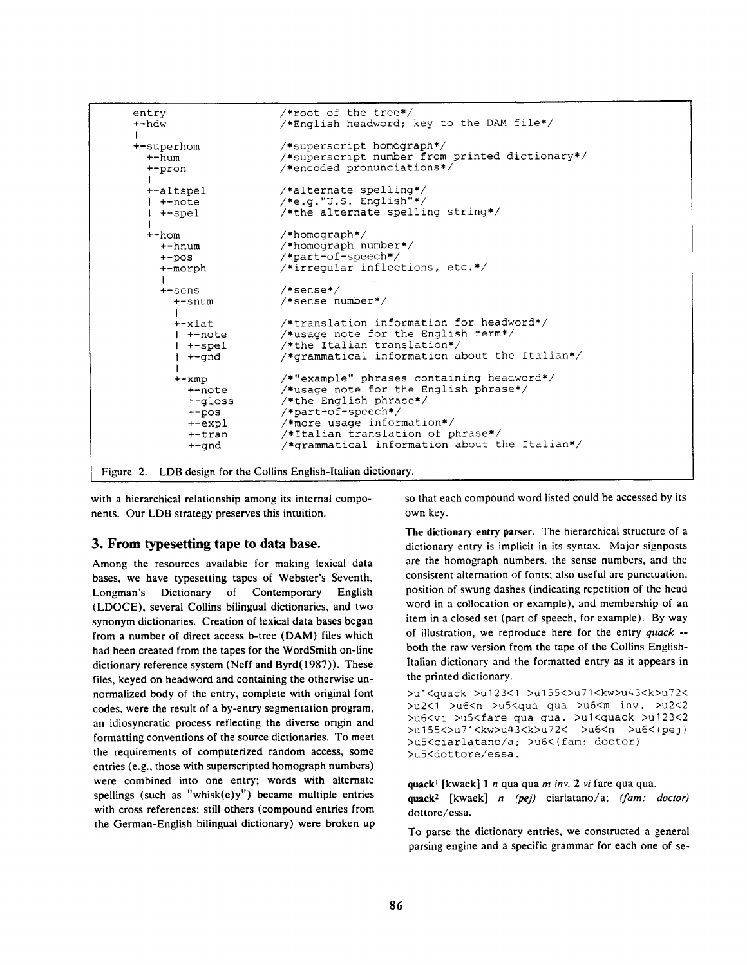

Figure 2. LDB design for the Collins English-Italian dictionary.

with a hierarchical relationship among its internal components. Our LDB strategy preserves this intuition.

#### **3. From typesetting tape to data base.**

Among the resources available for making lexical data bases, we have typesetting tapes of Webster's Seventh, Longman's Dictionary of Contemporary English (LDOCE), several Collins bilingual dictionaries, and two synonym dictionaries. Creation of lexical data bases began from a number of direct access b-tree (DAM) files which had been created from the tapes for the WordSmith on-line dictionary reference system (Neff and Byrd(1987)). These files, keyed on headword and containing the otherwise **unnormalized** body of the entry, complete with original font codes, were the result of a by-entry segmentation program, an idiosyncratic process reflecting the diverse origin and formatting conventions of the source dictionaries. To meet the requirements of computerized random access, some entries (e.g., those with superscripted homograph numbers) were combined into one entry; words with alternate spellings (such as "whisk $(e)y''$ ) became multiple entries with cross references; still others (compound entries from the German-English bilingual dictionary) were broken up so that each compound word listed could be accessed by its own key.

The dictionary entry parser. The hierarchical structure of a dictionary entry is implicit in its syntax. Major signposts are the homograph numbers, the sense numbers, and the consistent alternation of fonts: also useful are punctuation, position of swung dashes (indicating repetition of the head word in a collocation or example), and membership of an item in a closed set (part of speech, for example). By way of illustration, we reproduce here for the entry *quack -*  both the raw version from the tape of the Collins English-Italian dictionary and the formatted entry as it appears in the printed dictionary.

>u1<guack >u123<1 >u155<>></a>u71<kw>u43<k>u72< >u2<I >u6<n >u5<qua qua >u6<m inv. >u2<2 >u6<vi >uS<fare qua qua. >u1<quack >u123<2 >u 155<>u71<kw>ua 3<k>u72< >u6<n >u6<(pej) >u5<ciarlatano/a; >u6<(fam: doctor) >u5<dottore/essa.

**quack I** [kwaek] 1 n qua qua *m inv. 2 vi* fare qua qua. quack<sup>2</sup> [kwaek] *n (pej)* ciarlatano/a; *(fam: doctor)* dottore/essa.

To parse the dictionary entries, we constructed a general parsing engine and a specific grammar for each one of se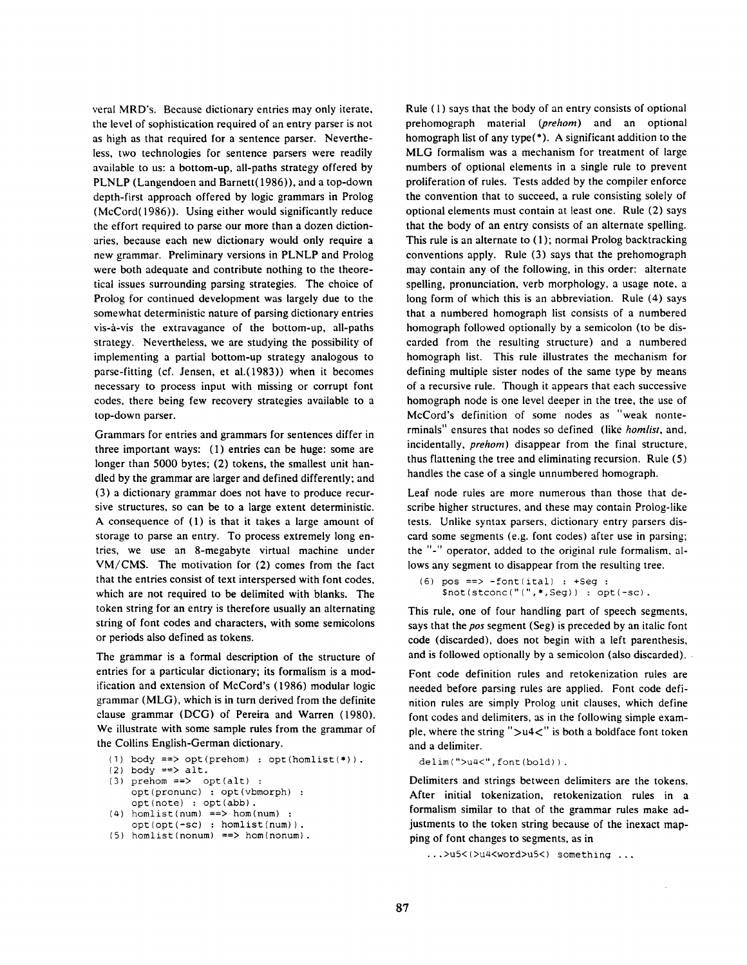veral MRD's. Because dictionary entries may only iterate. the level of sophistication required of an entry parser is not as high as that required for a sentence parser. Nevertheless, two technologies for sentence parsers were readily available to us: a bottom-up, all-paths strategy offered by PLNLP (Langendoen and Barnett(1986)), and a top-down depth-first approach offered by logic grammars in Prolog (McCord(1986)). Using either would significantly reduce the effort required to parse our more than a dozen dictionaries, because each new dictionary would only require a new grammar. Preliminary versions in PLNLP and Prolog were both adequate and contribute nothing to the theoretical issues surrounding parsing strategies. The choice of Prolog for continued development was largely due to the somewhat deterministic nature of parsing dictionary entries vis-a-vis the extravagance of the bottom-up, all-paths strategy. Nevertheless, we are studying the possibility of implementing a partial bottom-up strategy analogous to parse-fitting (cf. Jensen, et a1.(1983)) when it becomes necessary to process input with missing or corrupt font codes, there being few recovery strategies available to a top-down parser.

Grammars for entries and grammars for sentences differ in three important ways: (1) entries can be huge: some are longer than 5000 bytes; (2) tokens, the smallest unit handled by the grammar are larger and defined differently; and (3) a dictionary grammar does not have to produce recursive structures, so can be to a large extent deterministic. A consequence of (1) is that it takes a large amount of storage to parse an entry. To process extremely long entries, we use an 8-megabyte virtual machine under VM/CMS. The motivation for (2) comes from the fact that the entries consist of text interspersed with font codes, which are not required to be delimited with blanks. The token string for an entry is therefore usually an alternating string of font codes and characters, with some semicolons or periods also defined as tokens.

The grammar is a formal description of the structure of entries for a particular dictionary; its formalism is a modification and extension of McCord's (1986) modular logic grammar (MLG), which is in turn derived from the definite clause grammar (DCG) of Pereira and Warren (1980). We illustrate with some sample rules from the grammar of the Collins English-German dictionary.

(I) body ==> opt(prehom) : opt(homlist(\*)).

```
(2) body \Rightarrow alt.
```
- (3) prehom ==> opt(alt) : opt(pronunc) : opt(vbmorph) : opt(note) : opt(abb).
- (4) homlist(num) ==> hom(num) :
- opt(opt(-sc) : homlist(num)) . (5) homlist(nonum) ==> hom(nonum).

Rule (1) says that the body of an entry consists of optional prehomograph material *(prehom)* and an optional homograph list of any type(\*). A significant addition to the MLG formalism was a mechanism for treatment of large numbers of optional elements in a single rule to prevent proliferation of rules. Tests added by the compiler enforce the convention that to succeed, a rule consisting solely of optional elements must contain at least one. Rule (2) says that the body of an entry consists of an alternate spelling. This rule is an alternate to (1); normal Prolog backtracking conventions apply. Rule (3) says that the prehomograph may contain any of the following, in this order: alternate spelling, pronunciation, verb morphology, a usage note, a long form of which this is an abbreviation. Rule (4) says that a numbered homograph list consists of a numbered homograph followed optionally by a semicolon (to be discarded from the resulting structure) and a numbered homograph list. This rule illustrates the mechanism for defining multiple sister nodes of the same type by means of a recursive rule. Though it appears that each successive homograph node is one level deeper in the tree, the use of McCord's definition of some nodes as "weak nonterminals" ensures that nodes so defined (like *hornlist,* and, incidentally, *prehom)* disappear from the final structure, thus flattening the tree and eliminating recursion. Rule (5) handles the case of a single unnumbered homograph.

Leaf node rules are more numerous than those that describe higher structures, and these may contain Prolog-like tests. Unlike syntax parsers, dictionary entry parsers discard some segments (e.g. font codes) after use in parsing; the "-" operator, added to the original rule formalism, allows any segment to disappear from the resulting tree.

 $(6)$  pos ==> -font(ital) : +Seq : Snot(stconc("(",\*,Seg)) : opt(-sc).

This rule, one of four handling part of speech segments, says that the *pos* segment (Seg) is preceded by an italic font code (discarded), does not begin with a left parenthesis, and is followed optionally by a semicolon (also discarded).

Font code definition rules and retokenization rules are needed before parsing rules are applied. Font code definition rules are simply Prolog unit clauses, which define font codes and delimiters, as in the following simple example, where the string " $>u<sup>4</sup>$ " is both a boldface font token and a delimiter.

delim (">u4<", font (bold)).

Delimiters and strings between delimiters are the tokens. After initial tokenization, retokenization rules in a formalism similar to that of the grammar rules make adjustments to the token string because of the inexact mapping of font changes to segments, as in

...>u5<(>u4<word>u5<) something ...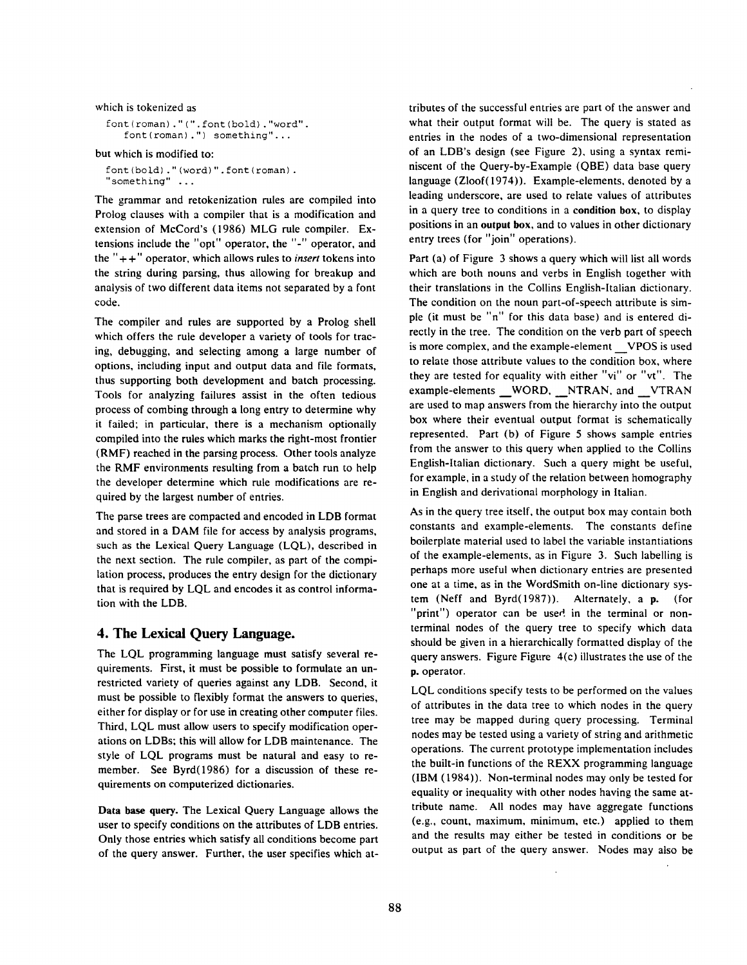which is tokenized as

```
font (roman) . " ( ". font (bold) . "word". 
   font(roman) .") something"...
```
but which is modified to:

font (bold) . " (word) ". font (roman) . 'something" ...

The grammar and retokenization rules are compiled into Prolog clauses with a compiler that is a modification and extension of McCord's (1986) MLG rule compiler. Extensions include the "opt" operator, the "-" operator, and the  $"++"$  operator, which allows rules to *insert* tokens into the string during parsing, thus allowing for breakup and analysis of two different data items not separated by a font code.

The compiler and rules are supported by a Prolog shell which offers the rule developer a variety of tools for tracing, debugging, and selecting among a large number of options, including input and output data and file formats, thus supporting both development and batch processing. Tools for analyzing failures assist in the often tedious process of combing through a long entry to determine why it failed; in particular, there is a mechanism optionally compiled into the rules which marks the right-most frontier (RMF) reached in the parsing process. Other tools analyze the RMF environments resulting from a batch run to help the developer determine which rule modifications are required by the largest number of entries.

The parse trees are compacted and encoded in LDB format and stored in a DAM file for access by analysis programs, such as the Lexical Query Language (LQL), described in the next section. The rule compiler, as part of the compilation process, produces the entry design for the dictionary that is required by LQL and encodes it as control information with the LDB.

## **4. The Lexical Query Language.**

The LQL programming language must satisfy several requirements. First, it must be possible to formulate an unrestricted variety of queries against any LDB. Second, it must be possible to flexibly format the answers to queries, either for display or for use in creating other computer files. Third, LQL must allow users to specify modification operations on LDBs; this will allow for LDB maintenance. The style of LQL programs must be natural and easy to remember. See Byrd(1986) for a discussion of these requirements on computerized dictionaries.

**Data base** query. The Lexical Query Language allows the user to specify conditions on the attributes of LDB entries. Only those entries which satisfy all conditions become part of the query answer. Further, the user specifies which attributes of the successful entries are part of the answer and what their output format will be. The query is stated as entries in the nodes of a two-dimensional representation of an LDB's design (see Figure 2), using a syntax reminiscent of the Query-by-Example (QBE) data base query language (Zloof(1974)). Example-elements, denoted by a leading underscore, are used to relate values of attributes in a query tree to conditions in a condition box, to display positions in an output box, and to values in other dictionary entry trees (for "join" operations).

Part (a) of Figure 3 shows a query which will list all words which are both nouns and verbs in English together with their translations in the Collins English-Italian dictionary. The condition on the noun part-of-speech attribute is simple (it must be "n" for this data base) and is entered directly in the tree. The condition on the verb part of speech is more complex, and the example-element VPOS is used to relate those attribute values to the condition box, where they are tested for equality with either "vi" or "vt". The example-elements WORD, NTRAN, and VTRAN are used to map answers from the hierarchy into the output box where their eventual output format is schematically represented. Part (b) of Figure 5 shows sample entries from the answer to this query when applied to the Collins English-Italian dictionary. Such a query might be useful, for example, in a study of the relation between homography in English and derivational morphology in Italian.

As in the query tree itself, the output box may contain both constants and example-elements. The constants define boilerplate material used to label the variable instantiations of the example-elements, as in Figure 3. Such labelling is perhaps more useful when dictionary entries are presented one at a time, as in the WordSmith on-line dictionary system (Neff and Byrd(1987)). Alternately, a p. (for "print") operator can be used in the terminal or nonterminal nodes of the query tree to specify which data should be given in a hierarchically formatted display of the query answers. Figure Figure 4(c) illustrates the use of the p. operator.

LQL conditions specify tests to be performed on the values of attributes in the data tree to which nodes in the query tree may be mapped during query processing. Terminal nodes may be tested using a variety of string and arithmetic operations. The current prototype implementation includes the built-in functions of the REXX programming language (IBM (1984)). Non-terminal nodes may only be tested for equality or inequality with other nodes having the same attribute name. All nodes may have aggregate functions (e.g., count, maximum, minimum, etc.) applied to them and the results may either be tested in conditions or be output as part of the query answer. Nodes may also be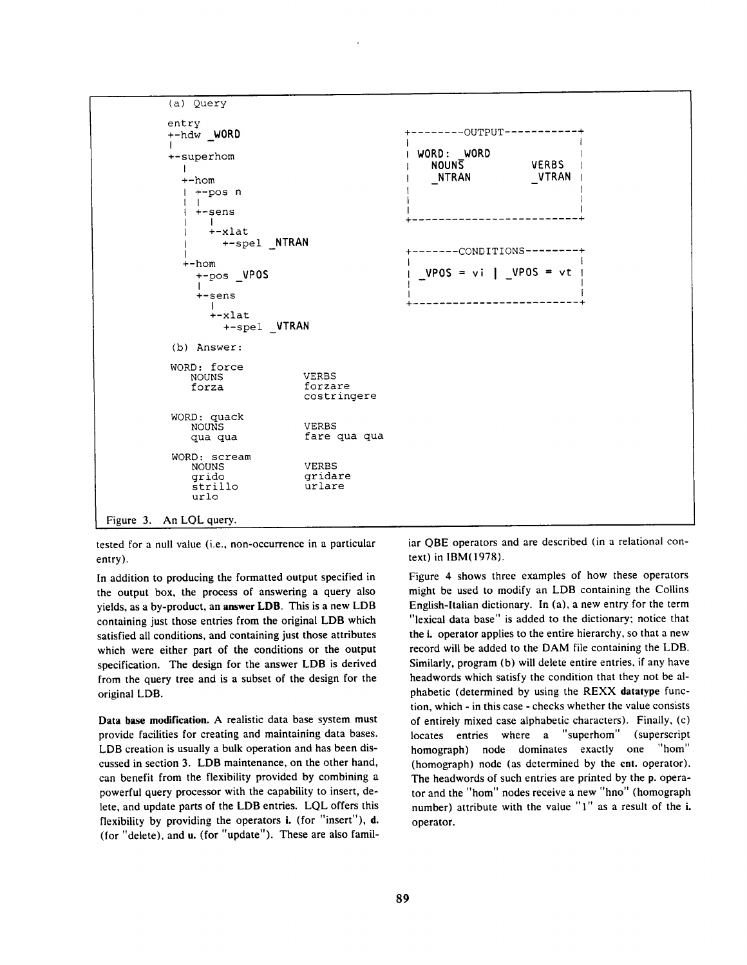

tested for a null value (i.e., non-occurrence in a particular entry).

In addition to producing the formatted output specified in the output box, the process of answering a query also yields, as a by-product, an answer LDB. This is a new LDB containing just those entries from the original LDB which satisfied all conditions, and containing just those attributes which were either part of the conditions or the output specification. The design for the answer LDB is derived from the query tree and is a subset of the design for the original LDB.

**Data base modification.** A realistic data base system must provide facilities for creating and maintaining data bases. LDB creation is usually a bulk operation and has been discussed in section 3. LDB maintenance, on the other hand, can benefit from the flexibility provided by combining a powerful query processor with the capability to insert, delete, and update parts of the LDB entries. LQL offers this flexibility by providing the operators i. (for "insert"), d. (for "delete), and u. (for "update"). These are also familiar QBE operators and are described (in a relational context) in IBM(1978).

Figure 4 shows three examples of how these operators might be used to modify an LDB containing the Collins English-Italian dictionary. In (a), a new entry for the term "lexical data base" is added to the dictionary; notice that the i. operator applies to the entire hierarchy, so that a new record will be added to the DAM file containing the LDB. Similarly, program (b) will delete entire entries, if any have headwords which satisfy the condition that they not be alphabetic (determined by using the REXX datatype function, which - in this case - checks whether the value consists of entirely mixed case alphabetic characters). Finally, (c) locates entries where a "superhom" (superscript homograph) node dominates exactly one "hom" (homograph) node (as determined by the cnt. operator). The headwords of such entries are printed by the p. operator and the "hom" nodes receive a new "hno" (homograph number) attribute with the value "1" as a result of the i. operator.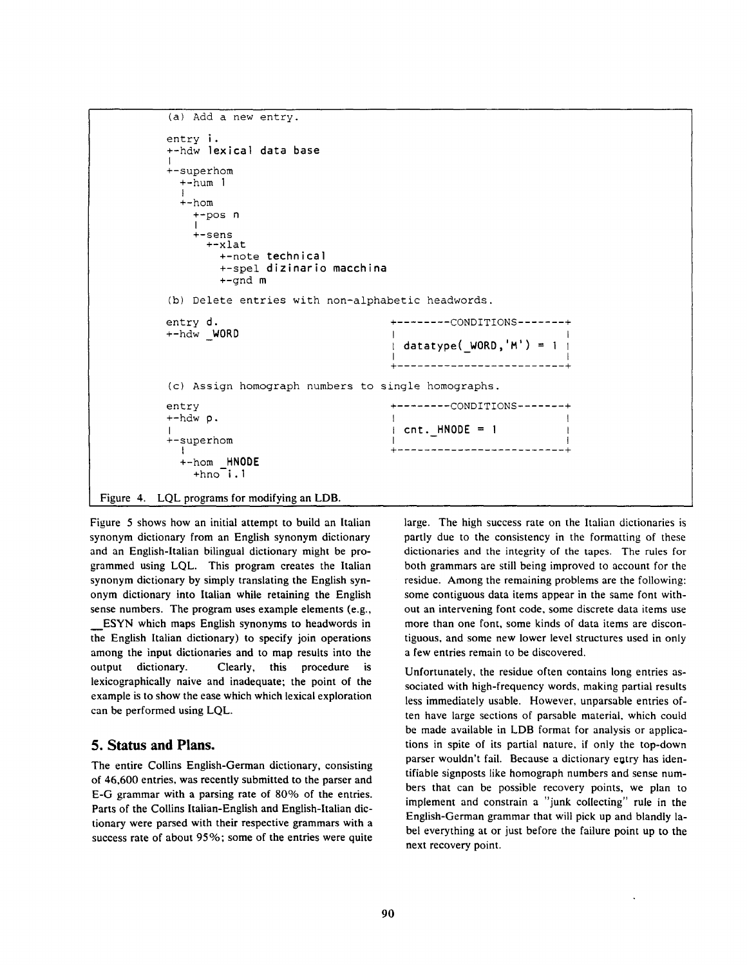```
Figure 4. 
LQL programs for modifying an LDB. 
                 (a) Add a new entry. 
                entry i. 
                 +-hdw lexical data base 
                 I 
                    superhom
                    +-hum ] 
                    3 
+-hom 
                       +-pos n 
                       l 
                       +-sens 
                           +-xlat 
                              +-note technical 
                              +-spel dizinario macchina 
                              +-gnd m 
                 (b) Delete entries with non-alphabetic headwords. 
                entry d. \qquad \qquad \bullet . \qquad \bullet . \qquad \bullet . \qquad \bullet . \qquad \bullet . \qquad \bullet . \qquad \bullet . \qquad \bullet . \qquad \bullet . \bullet . \bullet . \bullet . \bullet . \bullet . \bullet . \bullet . \bullet . \bullet . \bullet . \bullet . \bullet . \bullet . \bullet . \bullet . \bullet . \bullet .
                +-hdw WORD
                                                                              - I datatype(_WORD,'M') = I I 
                                                                            I like the second control of the second control of the second control of the second control of the second control of the second control of the second control of the second control of the second control of the second cont
                                                                           + ......................... + 
                 (c) Assign homograph numbers to single homographs. 
                entry + - - - - - CONDITIONS-------+
                 +-hdw p.
                                                                              I Icnt. HNODE = l I 
                 +-superhom \qquad \qquad + -[ + ......................... + 
                    +-hom HNODE 
                       +hno-i.1
```
Figure 5 shows how an initial attempt to build an Italian synonym dictionary from an English synonym dictionary and an English-Italian bilingual dictionary might be programmed using LQL. This program creates the Italian synonym dictionary by simply translating the English synonym dictionary into Italian while retaining the English sense numbers. The program uses example elements (e.g., ESYN which maps English synonyms to headwords in the English Italian dictionary) to specify join operations among the input dictionaries and to map results into the output dictionary. Clearly, this procedure is lexicographically naive and inadequate; the point of the example is to show the ease which which lexical exploration can be performed using LQL.

## **5. Status and Plans.**

The entire Collins English-German dictionary, consisting of 46,600 entries, was recently submitted to the parser and E-G grammar with a parsing rate of 80% of the entries. Parts of the Collins Italian-English and English-Italian dictionary were parsed with their respective grammars with a success rate of about 95%; some of the entries were quite large. The high success rate on the Italian dictionaries is partly due to the consistency in the formatting of these dictionaries and the integrity of the tapes. The rules for both grammars are still being improved to account for the residue. Among the remaining problems are the following: some contiguous data items appear in the same font without an intervening font code, some discrete data items use more than one font, some kinds of data items are discontiguous, and some new lower level structures used in only a few entries remain to be discovered.

Unfortunately, the residue often contains long entries associated with high-frequency words, making partial results less immediately usable. However, unparsable entries often have large sections of parsable material, which could be made available in LDB format for analysis or applications in spite of its partial nature, if only the top-down parser wouldn't fail. Because a dictionary entry has identifiable signposts like homograph numbers and sense numbers that can be possible recovery points, we plan to implement and constrain a "junk collecting" rule in the English-German grammar that will pick up and blandly label everything at or just before the failure point up to the next recovery point.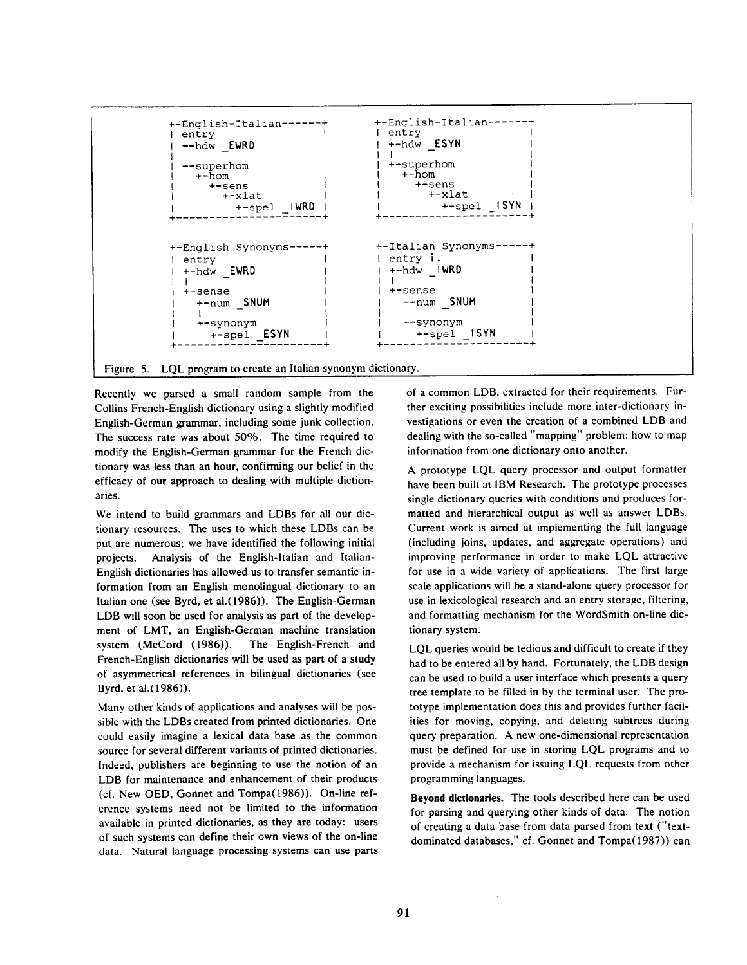

Figure 5. LQL program to create an Italian synonym dictionary.

Recently we parsed a small random sample from the Collins French-English dictionary using a slightly modified English-German grammar, including some junk collection. The success rate was about 50%. The time required to modify the English-German grammar for the French dictionary was less than an hour, confirming our belief in the efficacy of our approach to dealing with multiple dictionaries.

We intend to build grammars and LDBs for all our dictionary resources. The uses to which these LDBs can be put are numerous; we have identified the following initial projects. Analysis of the English-Italian and Italian-English dictionaries has allowed us to transfer semantic information from an English monolingual dictionary to an Italian one (see Byrd, et al.(1986)). The English-German LDB will soon be used for analysis as part of the development of LMT, an English-German machine translation system (McCord (1986)). The English-French and French-English dictionaries will be used as part of a study of asymmetrical references in bilingual dictionaries (see Byrd, et a1.(1986)).

Many other kinds of applications and analyses will be possible with the LDBs created from printed dictionaries. One could easily imagine a lexical data base as the common source for several different variants of printed dictionaries. Indeed, publishers are beginning to use the notion of an LDB for maintenance and enhancement of their products (cf. New OED, Gonnet and Tompa(1986)). On-line reference systems need not be limited to the information available in printed dictionaries, as they are today: users of such systems can define their own views of the on-line data. Natural language processing systems can use parts of a common LDB, extracted for their requirements. Further exciting possibilities include more inter-dictionary investigations or even the creation of a combined LDB and dealing with the so-called "mapping" problem: how to map information from one dictionary onto another.

A prototype LQL query processor and output formatter have been built at IBM Research. The prototype processes single dictionary queries with conditions and produces formatted and hierarchical output as well as answer LDBs. Current work is aimed at implementing the full language (including joins, updates, and aggregate operations) and improving performance in order to make LQL attractive for use in a wide variety of applications. The first large scale applications will be a stand-alone query processor for use in lexicological research and an entry storage, filtering, and formatting mechanism for the WordSmith on-line dictionary system.

LQL queries would be tedious and difficult to create if they had to be entered all by hand. Fortunately, the LDB design can be used to build a user interface which presents a query tree template to be filled in by the terminal user. The prototype implementation does this and provides further facilities for moving, copying, and deleting subtrees during query preparation. A new one-dimensional representation must be defined for use in storing LQL programs and to provide a mechanism for issuing LQL requests from other programming languages.

Beyond dictionaries. The tools described here can be used for parsing and querying other kinds of data. The notion of creating a data base from data parsed from text ("textdominated databases," cf. Gonnet and Tompa(1987)) can